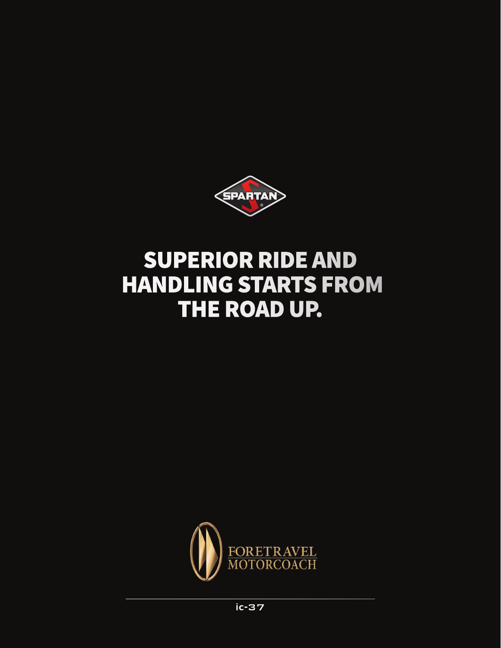

# SUPERIOR RIDE AND HANDLING STARTS FROM THE ROAD UP.